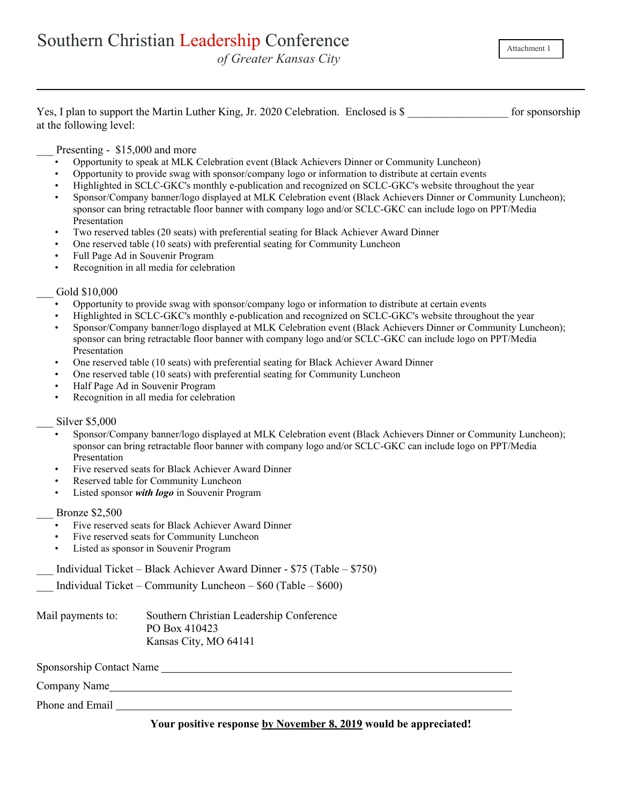Attachment 1

| Yes, I plan to support the Martin Luther King, Jr. 2020 Celebration. Enclosed is \$ |  | for sponsorship |
|-------------------------------------------------------------------------------------|--|-----------------|
| at the following level:                                                             |  |                 |

# Presenting - \$15,000 and more

- Opportunity to speak at MLK Celebration event (Black Achievers Dinner or Community Luncheon)
- Opportunity to provide swag with sponsor/company logo or information to distribute at certain events
- Highlighted in SCLC-GKC's monthly e-publication and recognized on SCLC-GKC's website throughout the year
- Sponsor/Company banner/logo displayed at MLK Celebration event (Black Achievers Dinner or Community Luncheon); sponsor can bring retractable floor banner with company logo and/or SCLC-GKC can include logo on PPT/Media Presentation
- Two reserved tables (20 seats) with preferential seating for Black Achiever Award Dinner
- One reserved table (10 seats) with preferential seating for Community Luncheon
- Full Page Ad in Souvenir Program
- Recognition in all media for celebration

#### Gold \$10,000

- Opportunity to provide swag with sponsor/company logo or information to distribute at certain events
- Highlighted in SCLC-GKC's monthly e-publication and recognized on SCLC-GKC's website throughout the year
- Sponsor/Company banner/logo displayed at MLK Celebration event (Black Achievers Dinner or Community Luncheon); sponsor can bring retractable floor banner with company logo and/or SCLC-GKC can include logo on PPT/Media Presentation
- One reserved table (10 seats) with preferential seating for Black Achiever Award Dinner
- One reserved table (10 seats) with preferential seating for Community Luncheon
- Half Page Ad in Souvenir Program
- Recognition in all media for celebration

### Silver \$5,000

- Sponsor/Company banner/logo displayed at MLK Celebration event (Black Achievers Dinner or Community Luncheon); sponsor can bring retractable floor banner with company logo and/or SCLC-GKC can include logo on PPT/Media Presentation
- Five reserved seats for Black Achiever Award Dinner
- Reserved table for Community Luncheon
- Listed sponsor *with logo* in Souvenir Program

# \_\_\_ Bronze \$2,500

- Five reserved seats for Black Achiever Award Dinner
- Five reserved seats for Community Luncheon
- Listed as sponsor in Souvenir Program
- \_\_\_ Individual Ticket Black Achiever Award Dinner \$75 (Table \$750)
- Individual Ticket Community Luncheon  $$60$  (Table  $$600$ )

Mail payments to: Southern Christian Leadership Conference PO Box 410423 Kansas City, MO 64141

Sponsorship Contact Name

Company Name

Phone and Email

## **Your positive response by November 8, 2019 would be appreciated!**